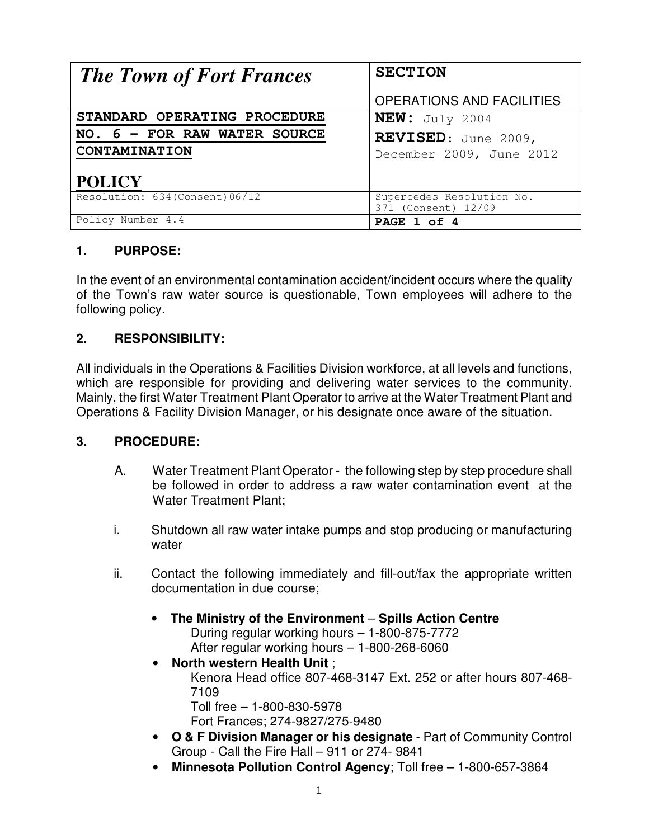| <b>The Town of Fort Frances</b> | <b>SECTION</b>                                   |
|---------------------------------|--------------------------------------------------|
|                                 | <b>OPERATIONS AND FACILITIES</b>                 |
| STANDARD OPERATING PROCEDURE    | NEW: July 2004                                   |
| NO. 6 - FOR RAW WATER SOURCE    | REVISED: June 2009,                              |
| CONTAMINATION                   | December 2009, June 2012                         |
| <b>POLICY</b>                   |                                                  |
| Resolution: 634 (Consent) 06/12 | Supercedes Resolution No.<br>371 (Consent) 12/09 |
| Policy Number 4.4               | PAGE 1 of 4                                      |

# **1. PURPOSE:**

In the event of an environmental contamination accident/incident occurs where the quality of the Town's raw water source is questionable, Town employees will adhere to the following policy.

## **2. RESPONSIBILITY:**

All individuals in the Operations & Facilities Division workforce, at all levels and functions, which are responsible for providing and delivering water services to the community. Mainly, the first Water Treatment Plant Operator to arrive at the Water Treatment Plant and Operations & Facility Division Manager, or his designate once aware of the situation.

## **3. PROCEDURE:**

- A. Water Treatment Plant Operator the following step by step procedure shall be followed in order to address a raw water contamination event at the Water Treatment Plant;
- i. Shutdown all raw water intake pumps and stop producing or manufacturing water
- ii. Contact the following immediately and fill-out/fax the appropriate written documentation in due course;
	- **The Ministry of the Environment Spills Action Centre** During regular working hours – 1-800-875-7772 After regular working hours – 1-800-268-6060
	- **North western Health Unit** ; Kenora Head office 807-468-3147 Ext. 252 or after hours 807-468- 7109 Toll free – 1-800-830-5978 Fort Frances; 274-9827/275-9480
	- **O & F Division Manager or his designate**  Part of Community Control Group - Call the Fire Hall – 911 or 274- 9841
	- **Minnesota Pollution Control Agency**; Toll free 1-800-657-3864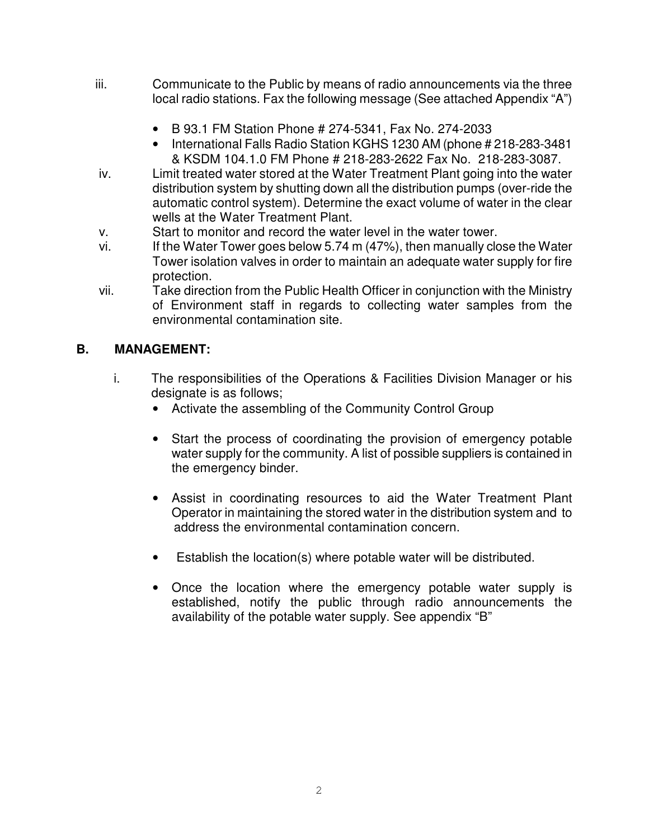- iii. Communicate to the Public by means of radio announcements via the three local radio stations. Fax the following message (See attached Appendix "A")
	- B 93.1 FM Station Phone # 274-5341, Fax No. 274-2033
	- International Falls Radio Station KGHS 1230 AM (phone # 218-283-3481 & KSDM 104.1.0 FM Phone # 218-283-2622 Fax No. 218-283-3087.
- iv. Limit treated water stored at the Water Treatment Plant going into the water distribution system by shutting down all the distribution pumps (over-ride the automatic control system). Determine the exact volume of water in the clear wells at the Water Treatment Plant.
- v. Start to monitor and record the water level in the water tower.
- vi. If the Water Tower goes below 5.74 m (47%), then manually close the Water Tower isolation valves in order to maintain an adequate water supply for fire protection.
- vii. Take direction from the Public Health Officer in conjunction with the Ministry of Environment staff in regards to collecting water samples from the environmental contamination site.

# **B. MANAGEMENT:**

- i. The responsibilities of the Operations & Facilities Division Manager or his designate is as follows;
	- Activate the assembling of the Community Control Group
	- Start the process of coordinating the provision of emergency potable water supply for the community. A list of possible suppliers is contained in the emergency binder.
	- Assist in coordinating resources to aid the Water Treatment Plant Operator in maintaining the stored water in the distribution system and to address the environmental contamination concern.
	- Establish the location(s) where potable water will be distributed.
	- Once the location where the emergency potable water supply is established, notify the public through radio announcements the availability of the potable water supply. See appendix "B"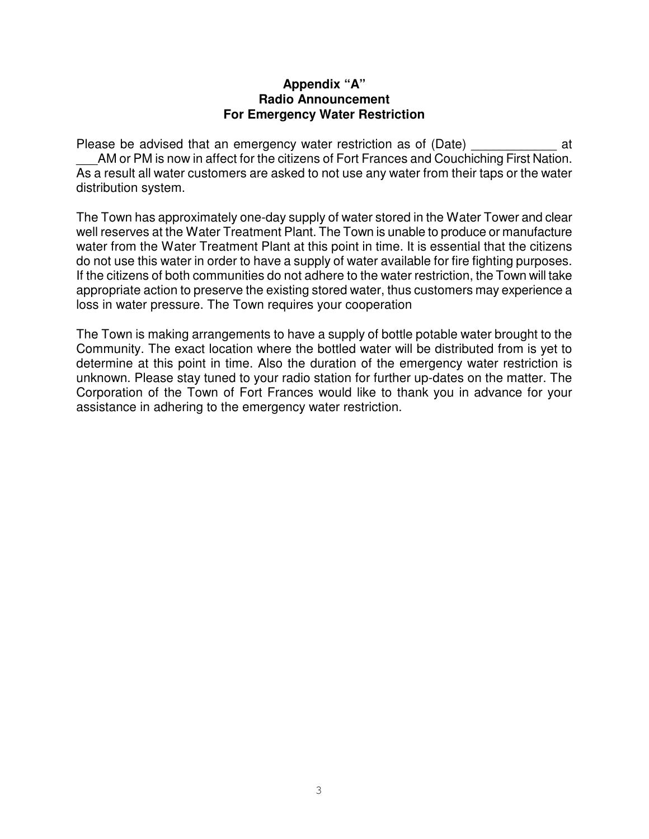#### **Appendix "A" Radio Announcement For Emergency Water Restriction**

Please be advised that an emergency water restriction as of (Date) \_\_\_\_\_\_\_\_\_\_\_\_\_ at AM or PM is now in affect for the citizens of Fort Frances and Couchiching First Nation. As a result all water customers are asked to not use any water from their taps or the water distribution system.

The Town has approximately one-day supply of water stored in the Water Tower and clear well reserves at the Water Treatment Plant. The Town is unable to produce or manufacture water from the Water Treatment Plant at this point in time. It is essential that the citizens do not use this water in order to have a supply of water available for fire fighting purposes. If the citizens of both communities do not adhere to the water restriction, the Town will take appropriate action to preserve the existing stored water, thus customers may experience a loss in water pressure. The Town requires your cooperation

The Town is making arrangements to have a supply of bottle potable water brought to the Community. The exact location where the bottled water will be distributed from is yet to determine at this point in time. Also the duration of the emergency water restriction is unknown. Please stay tuned to your radio station for further up-dates on the matter. The Corporation of the Town of Fort Frances would like to thank you in advance for your assistance in adhering to the emergency water restriction.